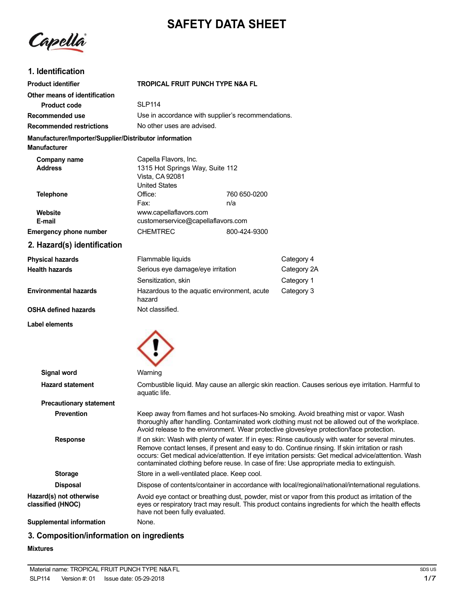# **SAFETY DATA SHEET**

Capella

### **1. Identification**

| <b>Product identifier</b>                                                     | <b>TROPICAL FRUIT PUNCH TYPE N&amp;A FL</b>                                                         |                     |             |
|-------------------------------------------------------------------------------|-----------------------------------------------------------------------------------------------------|---------------------|-------------|
| Other means of identification                                                 |                                                                                                     |                     |             |
| <b>Product code</b>                                                           | <b>SLP114</b>                                                                                       |                     |             |
| Recommended use                                                               | Use in accordance with supplier's recommendations.                                                  |                     |             |
| <b>Recommended restrictions</b>                                               | No other uses are advised.                                                                          |                     |             |
| Manufacturer/Importer/Supplier/Distributor information<br><b>Manufacturer</b> |                                                                                                     |                     |             |
| Company name<br><b>Address</b>                                                | Capella Flavors, Inc.<br>1315 Hot Springs Way, Suite 112<br>Vista, CA 92081<br><b>United States</b> |                     |             |
| <b>Telephone</b>                                                              | Office:<br>Fax:                                                                                     | 760 650-0200<br>n/a |             |
| Website<br>E-mail                                                             | www.capellaflavors.com<br>customerservice@capellaflavors.com                                        |                     |             |
| Emergency phone number                                                        | <b>CHEMTREC</b>                                                                                     | 800-424-9300        |             |
| 2. Hazard(s) identification                                                   |                                                                                                     |                     |             |
| <b>Physical hazards</b>                                                       | Flammable liquids                                                                                   |                     | Category 4  |
| <b>Health hazards</b>                                                         | Serious eye damage/eye irritation                                                                   |                     | Category 2A |
|                                                                               | Sensitization, skin                                                                                 |                     | Category 1  |

hazard Not classified.

**Environmental hazards**

**OSHA defined hazards**

**Label elements**



Category 3

Hazardous to the aquatic environment, acute

### **3. Composition/information on ingredients**

#### **Mixtures**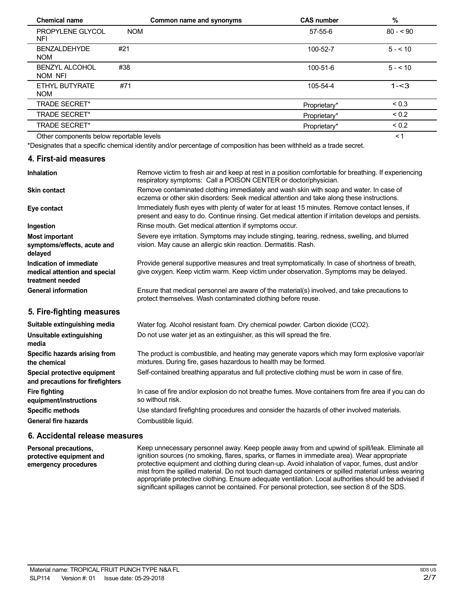| <b>Chemical name</b>                     |            | Common name and synonyms | <b>CAS number</b> | $\%$       |  |
|------------------------------------------|------------|--------------------------|-------------------|------------|--|
| PROPYLENE GLYCOL<br>NFI                  | <b>NOM</b> |                          | $57 - 55 - 6$     | $80 - 90$  |  |
| <b>BENZALDEHYDE</b><br><b>NOM</b>        | #21        |                          | 100-52-7          | $5 - 10$   |  |
| <b>BENZYL ALCOHOL</b><br>NOM NFI         | #38        |                          | 100-51-6          | $5 - 10$   |  |
| ETHYL BUTYRATE<br><b>NOM</b>             | #71        |                          | 105-54-4          | $1 - 3$    |  |
| <b>TRADE SECRET*</b>                     |            |                          | Proprietary*      | ${}_{0.3}$ |  |
| <b>TRADE SECRET*</b>                     |            |                          | Proprietary*      | ${}_{0.2}$ |  |
| <b>TRADE SECRET*</b>                     |            |                          | Proprietary*      | ${}_{0.2}$ |  |
| Other components below reportable levels |            |                          |                   | ≺1         |  |

Other components below reportable levels

\*Designates that a specific chemical identity and/or percentage of composition has been withheld as a trade secret.

#### **4. First-aid measures**

| <b>Inhalation</b>                                                            | Remove victim to fresh air and keep at rest in a position comfortable for breathing. If experiencing<br>respiratory symptoms: Call a POISON CENTER or doctor/physician.                                |  |  |
|------------------------------------------------------------------------------|--------------------------------------------------------------------------------------------------------------------------------------------------------------------------------------------------------|--|--|
| <b>Skin contact</b>                                                          | Remove contaminated clothing immediately and wash skin with soap and water. In case of<br>eczema or other skin disorders: Seek medical attention and take along these instructions.                    |  |  |
| Eye contact                                                                  | Immediately flush eyes with plenty of water for at least 15 minutes. Remove contact lenses, if<br>present and easy to do. Continue rinsing. Get medical attention if irritation develops and persists. |  |  |
| Ingestion                                                                    | Rinse mouth. Get medical attention if symptoms occur.                                                                                                                                                  |  |  |
| <b>Most important</b><br>symptoms/effects, acute and<br>delayed              | Severe eye irritation. Symptoms may include stinging, tearing, redness, swelling, and blurred<br>vision. May cause an allergic skin reaction. Dermatitis. Rash.                                        |  |  |
| Indication of immediate<br>medical attention and special<br>treatment needed | Provide general supportive measures and treat symptomatically. In case of shortness of breath,<br>give oxygen. Keep victim warm. Keep victim under observation. Symptoms may be delayed.               |  |  |
| <b>General information</b>                                                   | Ensure that medical personnel are aware of the material(s) involved, and take precautions to<br>protect themselves. Wash contaminated clothing before reuse.                                           |  |  |
| 5. Fire-fighting measures                                                    |                                                                                                                                                                                                        |  |  |
| Suitable extinguishing media                                                 | Water fog. Alcohol resistant foam. Dry chemical powder. Carbon dioxide (CO2).                                                                                                                          |  |  |
| Unsuitable extinguishing<br>media                                            | Do not use water jet as an extinguisher, as this will spread the fire.                                                                                                                                 |  |  |
| Specific hazards arising from<br>the chemical                                | The product is combustible, and heating may generate vapors which may form explosive vapor/air<br>mixtures. During fire, gases hazardous to health may be formed.                                      |  |  |
| Special protective equipment<br>and precautions for firefighters             | Self-contained breathing apparatus and full protective clothing must be worn in case of fire.                                                                                                          |  |  |
| <b>Fire fighting</b><br>equipment/instructions                               | In case of fire and/or explosion do not breathe fumes. Move containers from fire area if you can do<br>so without risk.                                                                                |  |  |
| <b>Specific methods</b>                                                      | Use standard firefighting procedures and consider the hazards of other involved materials.                                                                                                             |  |  |

**General fire hazards**

#### **6. Accidental release measures**

Combustible liquid.

**Personal precautions, protective equipment and emergency procedures**

Keep unnecessary personnel away. Keep people away from and upwind of spill/leak. Eliminate all ignition sources (no smoking, flares, sparks, or flames in immediate area). Wear appropriate protective equipment and clothing during clean-up. Avoid inhalation of vapor, fumes, dust and/or mist from the spilled material. Do not touch damaged containers or spilled material unless wearing appropriate protective clothing. Ensure adequate ventilation. Local authorities should be advised if significant spillages cannot be contained. For personal protection, see section 8 of the SDS.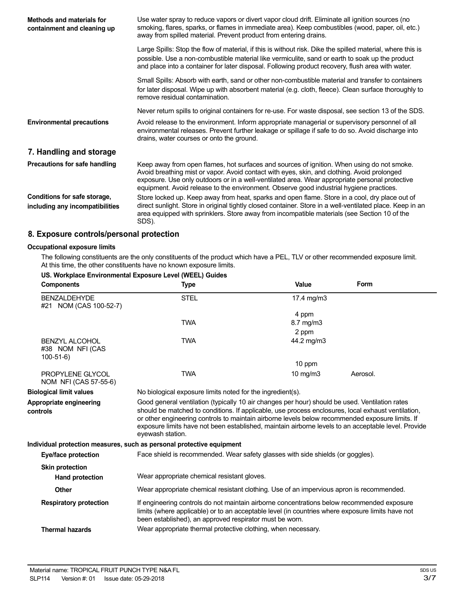| Methods and materials for<br>containment and cleaning up        | Use water spray to reduce vapors or divert vapor cloud drift. Eliminate all ignition sources (no<br>smoking, flares, sparks, or flames in immediate area). Keep combustibles (wood, paper, oil, etc.)<br>away from spilled material. Prevent product from entering drains.                                                                                                             |
|-----------------------------------------------------------------|----------------------------------------------------------------------------------------------------------------------------------------------------------------------------------------------------------------------------------------------------------------------------------------------------------------------------------------------------------------------------------------|
|                                                                 | Large Spills: Stop the flow of material, if this is without risk. Dike the spilled material, where this is<br>possible. Use a non-combustible material like vermiculite, sand or earth to soak up the product<br>and place into a container for later disposal. Following product recovery, flush area with water.                                                                     |
|                                                                 | Small Spills: Absorb with earth, sand or other non-combustible material and transfer to containers<br>for later disposal. Wipe up with absorbent material (e.g. cloth, fleece). Clean surface thoroughly to<br>remove residual contamination.                                                                                                                                          |
|                                                                 | Never return spills to original containers for re-use. For waste disposal, see section 13 of the SDS.                                                                                                                                                                                                                                                                                  |
| <b>Environmental precautions</b>                                | Avoid release to the environment. Inform appropriate managerial or supervisory personnel of all<br>environmental releases. Prevent further leakage or spillage if safe to do so. Avoid discharge into<br>drains, water courses or onto the ground.                                                                                                                                     |
| 7. Handling and storage                                         |                                                                                                                                                                                                                                                                                                                                                                                        |
| Precautions for safe handling                                   | Keep away from open flames, hot surfaces and sources of ignition. When using do not smoke.<br>Avoid breathing mist or vapor. Avoid contact with eyes, skin, and clothing. Avoid prolonged<br>exposure. Use only outdoors or in a well-ventilated area. Wear appropriate personal protective<br>equipment. Avoid release to the environment. Observe good industrial hygiene practices. |
| Conditions for safe storage,<br>including any incompatibilities | Store locked up. Keep away from heat, sparks and open flame. Store in a cool, dry place out of<br>direct sunlight. Store in original tightly closed container. Store in a well-ventilated place. Keep in an<br>area equipped with sprinklers. Store away from incompatible materials (see Section 10 of the<br>SDS).                                                                   |

### **8. Exposure controls/personal protection**

#### **Occupational exposure limits**

The following constituents are the only constituents of the product which have a PEL, TLV or other recommended exposure limit. At this time, the other constituents have no known exposure limits.

| <b>Components</b>                                       | <b>Type</b>                                                                                                                                                                                                                                                                                                                                                                                                                        | Value      | Form     |
|---------------------------------------------------------|------------------------------------------------------------------------------------------------------------------------------------------------------------------------------------------------------------------------------------------------------------------------------------------------------------------------------------------------------------------------------------------------------------------------------------|------------|----------|
| <b>BENZALDEHYDE</b><br>#21 NOM (CAS 100-52-7)           | <b>STEL</b>                                                                                                                                                                                                                                                                                                                                                                                                                        | 17.4 mg/m3 |          |
|                                                         |                                                                                                                                                                                                                                                                                                                                                                                                                                    | 4 ppm      |          |
|                                                         | <b>TWA</b>                                                                                                                                                                                                                                                                                                                                                                                                                         | 8.7 mg/m3  |          |
|                                                         |                                                                                                                                                                                                                                                                                                                                                                                                                                    | 2 ppm      |          |
| <b>BENZYL ALCOHOL</b><br>#38 NOM NFI (CAS<br>$100-51-6$ | <b>TWA</b>                                                                                                                                                                                                                                                                                                                                                                                                                         | 44.2 mg/m3 |          |
|                                                         |                                                                                                                                                                                                                                                                                                                                                                                                                                    | 10 ppm     |          |
| PROPYLENE GLYCOL<br>NOM NFI (CAS 57-55-6)               | <b>TWA</b>                                                                                                                                                                                                                                                                                                                                                                                                                         | 10 $mg/m3$ | Aerosol. |
| <b>Biological limit values</b>                          | No biological exposure limits noted for the ingredient(s).                                                                                                                                                                                                                                                                                                                                                                         |            |          |
| Appropriate engineering<br>controls                     | Good general ventilation (typically 10 air changes per hour) should be used. Ventilation rates<br>should be matched to conditions. If applicable, use process enclosures, local exhaust ventilation,<br>or other engineering controls to maintain airborne levels below recommended exposure limits. If<br>exposure limits have not been established, maintain airborne levels to an acceptable level. Provide<br>eyewash station. |            |          |
|                                                         | Individual protection measures, such as personal protective equipment                                                                                                                                                                                                                                                                                                                                                              |            |          |
|                                                         | Face shield is recommended. Wear safety glasses with side shields (or goggles).                                                                                                                                                                                                                                                                                                                                                    |            |          |
| Eye/face protection                                     |                                                                                                                                                                                                                                                                                                                                                                                                                                    |            |          |
|                                                         |                                                                                                                                                                                                                                                                                                                                                                                                                                    |            |          |
| <b>Skin protection</b><br><b>Hand protection</b>        | Wear appropriate chemical resistant gloves.                                                                                                                                                                                                                                                                                                                                                                                        |            |          |
| <b>Other</b>                                            | Wear appropriate chemical resistant clothing. Use of an impervious apron is recommended.                                                                                                                                                                                                                                                                                                                                           |            |          |
| <b>Respiratory protection</b>                           | If engineering controls do not maintain airborne concentrations below recommended exposure<br>limits (where applicable) or to an acceptable level (in countries where exposure limits have not<br>been established), an approved respirator must be worn.                                                                                                                                                                          |            |          |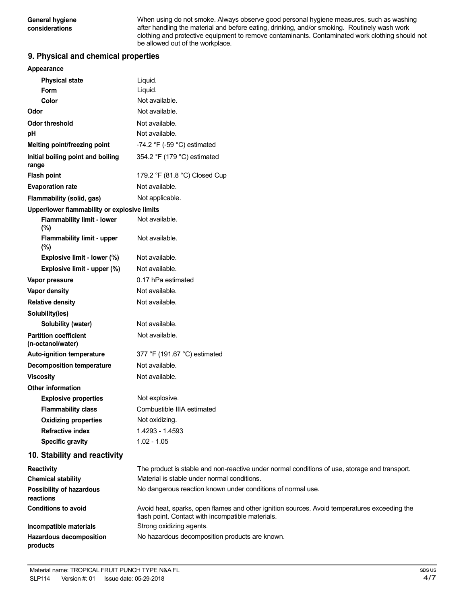When using do not smoke. Always observe good personal hygiene measures, such as washing after handling the material and before eating, drinking, and/or smoking. Routinely wash work clothing and protective equipment to remove contaminants. Contaminated work clothing should not be allowed out of the workplace.

### **9. Physical and chemical properties**

| Appearance                                        |                                                                                                                                                   |
|---------------------------------------------------|---------------------------------------------------------------------------------------------------------------------------------------------------|
| <b>Physical state</b>                             | Liquid.                                                                                                                                           |
| <b>Form</b>                                       | Liquid.                                                                                                                                           |
| Color                                             | Not available.                                                                                                                                    |
| Odor                                              | Not available.                                                                                                                                    |
| <b>Odor threshold</b>                             | Not available.                                                                                                                                    |
| рH                                                | Not available.                                                                                                                                    |
| Melting point/freezing point                      | -74.2 $\degree$ F (-59 $\degree$ C) estimated                                                                                                     |
| Initial boiling point and boiling<br>range        | 354.2 °F (179 °C) estimated                                                                                                                       |
| <b>Flash point</b>                                | 179.2 °F (81.8 °C) Closed Cup                                                                                                                     |
| <b>Evaporation rate</b>                           | Not available.                                                                                                                                    |
| Flammability (solid, gas)                         | Not applicable.                                                                                                                                   |
| Upper/lower flammability or explosive limits      |                                                                                                                                                   |
| <b>Flammability limit - lower</b><br>(%)          | Not available.                                                                                                                                    |
| <b>Flammability limit - upper</b><br>(%)          | Not available.                                                                                                                                    |
| Explosive limit - lower (%)                       | Not available.                                                                                                                                    |
| Explosive limit - upper (%)                       | Not available.                                                                                                                                    |
| Vapor pressure                                    | 0.17 hPa estimated                                                                                                                                |
| <b>Vapor density</b>                              | Not available.                                                                                                                                    |
| <b>Relative density</b>                           | Not available.                                                                                                                                    |
| Solubility(ies)                                   |                                                                                                                                                   |
| Solubility (water)                                | Not available.                                                                                                                                    |
| <b>Partition coefficient</b><br>(n-octanol/water) | Not available.                                                                                                                                    |
| Auto-ignition temperature                         | 377 °F (191.67 °C) estimated                                                                                                                      |
| <b>Decomposition temperature</b>                  | Not available.                                                                                                                                    |
| <b>Viscosity</b>                                  | Not available.                                                                                                                                    |
| <b>Other information</b>                          |                                                                                                                                                   |
| <b>Explosive properties</b>                       | Not explosive.                                                                                                                                    |
| <b>Flammability class</b>                         | Combustible IIIA estimated                                                                                                                        |
| <b>Oxidizing properties</b>                       | Not oxidizing.                                                                                                                                    |
| <b>Refractive index</b>                           | 1.4293 - 1.4593                                                                                                                                   |
| <b>Specific gravity</b>                           | $1.02 - 1.05$                                                                                                                                     |
| 10. Stability and reactivity                      |                                                                                                                                                   |
| <b>Reactivity</b>                                 | The product is stable and non-reactive under normal conditions of use, storage and transport.                                                     |
| <b>Chemical stability</b>                         | Material is stable under normal conditions.                                                                                                       |
| <b>Possibility of hazardous</b><br>reactions      | No dangerous reaction known under conditions of normal use.                                                                                       |
| <b>Conditions to avoid</b>                        | Avoid heat, sparks, open flames and other ignition sources. Avoid temperatures exceeding the<br>flash point. Contact with incompatible materials. |
| Incompatible materials                            | Strong oxidizing agents.                                                                                                                          |
| Hazardous decomposition<br>products               | No hazardous decomposition products are known.                                                                                                    |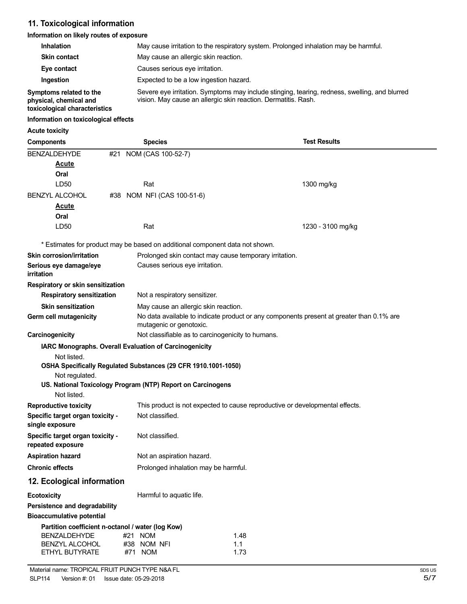### **11. Toxicological information**

### **Information on likely routes of exposure**

| <b>Inhalation</b>                                 | May cause irritation to the respiratory system. Prolonged inhalation may be harmful.                                                                            |  |  |
|---------------------------------------------------|-----------------------------------------------------------------------------------------------------------------------------------------------------------------|--|--|
| <b>Skin contact</b>                               | May cause an allergic skin reaction.                                                                                                                            |  |  |
| Causes serious eye irritation.<br>Eye contact     |                                                                                                                                                                 |  |  |
| Ingestion                                         | Expected to be a low ingestion hazard.                                                                                                                          |  |  |
| Symptoms related to the<br>physical, chemical and | Severe eye irritation. Symptoms may include stinging, tearing, redness, swelling, and blurred<br>vision. May cause an allergic skin reaction. Dermatitis. Rash. |  |  |

### **toxicological characteristics**

#### **Information on toxicological effects**

#### **Acute toxicity**

| <b>Components</b>                                                 |                                                                                                                     | <b>Species</b>                                                               | <b>Test Results</b>                                                          |
|-------------------------------------------------------------------|---------------------------------------------------------------------------------------------------------------------|------------------------------------------------------------------------------|------------------------------------------------------------------------------|
| <b>BENZALDEHYDE</b>                                               | #21                                                                                                                 | NOM (CAS 100-52-7)                                                           |                                                                              |
| <u>Acute</u>                                                      |                                                                                                                     |                                                                              |                                                                              |
| Oral                                                              |                                                                                                                     |                                                                              |                                                                              |
| LD50                                                              |                                                                                                                     | Rat                                                                          | 1300 mg/kg                                                                   |
| <b>BENZYL ALCOHOL</b>                                             | #38                                                                                                                 | NOM NFI (CAS 100-51-6)                                                       |                                                                              |
| Acute                                                             |                                                                                                                     |                                                                              |                                                                              |
| Oral                                                              |                                                                                                                     |                                                                              |                                                                              |
| LD50                                                              |                                                                                                                     | Rat                                                                          | 1230 - 3100 mg/kg                                                            |
|                                                                   |                                                                                                                     | * Estimates for product may be based on additional component data not shown. |                                                                              |
| <b>Skin corrosion/irritation</b>                                  |                                                                                                                     |                                                                              | Prolonged skin contact may cause temporary irritation.                       |
| Serious eye damage/eye<br><i>irritation</i>                       |                                                                                                                     | Causes serious eye irritation.                                               |                                                                              |
| Respiratory or skin sensitization                                 |                                                                                                                     |                                                                              |                                                                              |
| <b>Respiratory sensitization</b>                                  |                                                                                                                     | Not a respiratory sensitizer.                                                |                                                                              |
| <b>Skin sensitization</b>                                         |                                                                                                                     | May cause an allergic skin reaction.                                         |                                                                              |
| Germ cell mutagenicity                                            | No data available to indicate product or any components present at greater than 0.1% are<br>mutagenic or genotoxic. |                                                                              |                                                                              |
| Carcinogenicity                                                   |                                                                                                                     |                                                                              | Not classifiable as to carcinogenicity to humans.                            |
|                                                                   |                                                                                                                     | IARC Monographs. Overall Evaluation of Carcinogenicity                       |                                                                              |
| Not listed.                                                       |                                                                                                                     |                                                                              |                                                                              |
|                                                                   |                                                                                                                     | OSHA Specifically Regulated Substances (29 CFR 1910.1001-1050)               |                                                                              |
| Not regulated.                                                    |                                                                                                                     | US. National Toxicology Program (NTP) Report on Carcinogens                  |                                                                              |
| Not listed.                                                       |                                                                                                                     |                                                                              |                                                                              |
| <b>Reproductive toxicity</b>                                      |                                                                                                                     |                                                                              | This product is not expected to cause reproductive or developmental effects. |
| Specific target organ toxicity -                                  |                                                                                                                     | Not classified.                                                              |                                                                              |
| single exposure                                                   |                                                                                                                     |                                                                              |                                                                              |
| Specific target organ toxicity -<br>repeated exposure             |                                                                                                                     | Not classified.                                                              |                                                                              |
| <b>Aspiration hazard</b>                                          |                                                                                                                     | Not an aspiration hazard.                                                    |                                                                              |
| <b>Chronic effects</b>                                            |                                                                                                                     | Prolonged inhalation may be harmful.                                         |                                                                              |
| 12. Ecological information                                        |                                                                                                                     |                                                                              |                                                                              |
| <b>Ecotoxicity</b>                                                |                                                                                                                     | Harmful to aquatic life.                                                     |                                                                              |
| Persistence and degradability<br><b>Bioaccumulative potential</b> |                                                                                                                     |                                                                              |                                                                              |
| Partition coefficient n-octanol / water (log Kow)                 |                                                                                                                     |                                                                              |                                                                              |
| <b>BENZALDEHYDE</b>                                               |                                                                                                                     | #21 NOM                                                                      | 1.48                                                                         |
| <b>BENZYL ALCOHOL</b><br>ETHYL BUTYRATE                           |                                                                                                                     | #38 NOM NFI<br>#71 NOM                                                       | 1.1<br>1.73                                                                  |
|                                                                   |                                                                                                                     |                                                                              |                                                                              |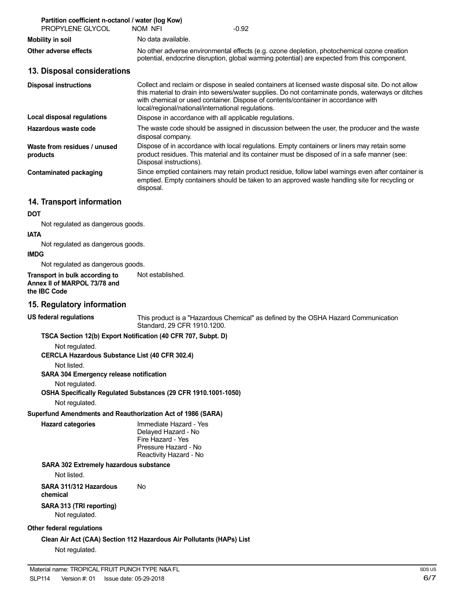| Partition coefficient n-octanol / water (log Kow)<br>PROPYLENE GLYCOL | NOM NFI                                                | $-0.92$                                                                                                                                                                                                                                                                                     |
|-----------------------------------------------------------------------|--------------------------------------------------------|---------------------------------------------------------------------------------------------------------------------------------------------------------------------------------------------------------------------------------------------------------------------------------------------|
| <b>Mobility in soil</b>                                               | No data available.                                     |                                                                                                                                                                                                                                                                                             |
| Other adverse effects                                                 |                                                        | No other adverse environmental effects (e.g. ozone depletion, photochemical ozone creation<br>potential, endocrine disruption, global warming potential) are expected from this component.                                                                                                  |
| 13. Disposal considerations                                           |                                                        |                                                                                                                                                                                                                                                                                             |
| <b>Disposal instructions</b>                                          | local/regional/national/international regulations.     | Collect and reclaim or dispose in sealed containers at licensed waste disposal site. Do not allow<br>this material to drain into sewers/water supplies. Do not contaminate ponds, waterways or ditches<br>with chemical or used container. Dispose of contents/container in accordance with |
| Local disposal regulations                                            | Dispose in accordance with all applicable regulations. |                                                                                                                                                                                                                                                                                             |
| Hazardous waste code                                                  | disposal company.                                      | The waste code should be assigned in discussion between the user, the producer and the waste                                                                                                                                                                                                |
| Waste from residues / unused<br>products                              | Disposal instructions).                                | Dispose of in accordance with local regulations. Empty containers or liners may retain some<br>product residues. This material and its container must be disposed of in a safe manner (see:                                                                                                 |
| <b>Contaminated packaging</b>                                         | disposal.                                              | Since emptied containers may retain product residue, follow label warnings even after container is<br>emptied. Empty containers should be taken to an approved waste handling site for recycling or                                                                                         |
| 14. Transport information                                             |                                                        |                                                                                                                                                                                                                                                                                             |
| <b>DOT</b>                                                            |                                                        |                                                                                                                                                                                                                                                                                             |
| Not regulated as dangerous goods.                                     |                                                        |                                                                                                                                                                                                                                                                                             |
| <b>IATA</b>                                                           |                                                        |                                                                                                                                                                                                                                                                                             |
| Not regulated as dangerous goods.                                     |                                                        |                                                                                                                                                                                                                                                                                             |
| <b>IMDG</b><br>Not requisited as departeurs goods                     |                                                        |                                                                                                                                                                                                                                                                                             |

Not regulated as dangerous goods. **Transport in bulk according to** Not established.

**Annex II of MARPOL 73/78 and the IBC Code**

#### **15. Regulatory information**

**US federal regulations**

This product is a "Hazardous Chemical" as defined by the OSHA Hazard Communication Standard, 29 CFR 1910.1200.

#### **TSCA Section 12(b) Export Notification (40 CFR 707, Subpt. D)**

Not regulated.

**CERCLA Hazardous Substance List (40 CFR 302.4)**

Not listed.

**SARA 304 Emergency release notification**

Not regulated.

**OSHA Specifically Regulated Substances (29 CFR 1910.1001-1050)**

Not regulated.

### **Superfund Amendments and Reauthorization Act of 1986 (SARA)**

**Hazard categories** Immediate Hazard - Yes Delayed Hazard - No Fire Hazard - Yes Pressure Hazard - No Reactivity Hazard - No

### **SARA 302 Extremely hazardous substance**

Not listed.

**SARA 311/312 Hazardous** No **chemical**

**SARA 313 (TRI reporting)** Not regulated.

### **Other federal regulations**

**Clean Air Act (CAA) Section 112 Hazardous Air Pollutants (HAPs) List** Not regulated.